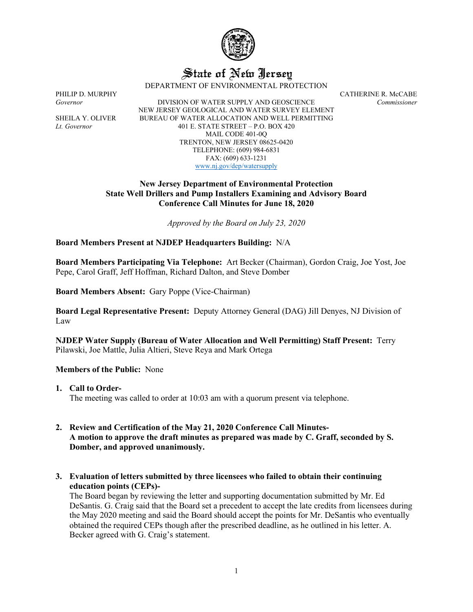

# State of New Jersey

DEPARTMENT OF ENVIRONMENTAL PROTECTION

*Governor* DIVISION OF WATER SUPPLY AND GEOSCIENCE *Commissioner* NEW JERSEY GEOLOGICAL AND WATER SURVEY ELEMENT SHEILA Y. OLIVER BUREAU OF WATER ALLOCATION AND WELL PERMITTING *Lt. Governor* 401 E. STATE STREET – P.O. BOX 420 MAIL CODE 401-0Q TRENTON, NEW JERSEY 08625-0420 TELEPHONE: (609) 984-6831 FAX: (609) 633-1231 [www.nj.gov/dep/watersupply](http://www.nj.gov/dep/watersupply)

PHILIP D. MURPHY CATHERINE R. McCABE

### **New Jersey Department of Environmental Protection State Well Drillers and Pump Installers Examining and Advisory Board Conference Call Minutes for June 18, 2020**

*Approved by the Board on July 23, 2020*

**Board Members Present at NJDEP Headquarters Building:** N/A

**Board Members Participating Via Telephone:** Art Becker (Chairman), Gordon Craig, Joe Yost, Joe Pepe, Carol Graff, Jeff Hoffman, Richard Dalton, and Steve Domber

**Board Members Absent:** Gary Poppe (Vice-Chairman)

**Board Legal Representative Present:** Deputy Attorney General (DAG) Jill Denyes, NJ Division of Law

**NJDEP Water Supply (Bureau of Water Allocation and Well Permitting) Staff Present:** Terry Pilawski, Joe Mattle, Julia Altieri, Steve Reya and Mark Ortega

#### **Members of the Public:** None

**1. Call to Order-**

The meeting was called to order at 10:03 am with a quorum present via telephone.

#### **2. Review and Certification of the May 21, 2020 Conference Call Minutes-A motion to approve the draft minutes as prepared was made by C. Graff, seconded by S. Domber, and approved unanimously.**

**3. Evaluation of letters submitted by three licensees who failed to obtain their continuing education points (CEPs)-**

The Board began by reviewing the letter and supporting documentation submitted by Mr. Ed DeSantis. G. Craig said that the Board set a precedent to accept the late credits from licensees during the May 2020 meeting and said the Board should accept the points for Mr. DeSantis who eventually obtained the required CEPs though after the prescribed deadline, as he outlined in his letter. A. Becker agreed with G. Craig's statement.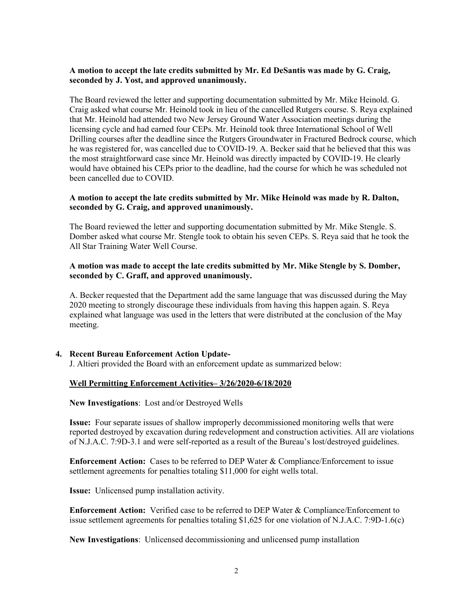#### **A motion to accept the late credits submitted by Mr. Ed DeSantis was made by G. Craig, seconded by J. Yost, and approved unanimously.**

The Board reviewed the letter and supporting documentation submitted by Mr. Mike Heinold. G. Craig asked what course Mr. Heinold took in lieu of the cancelled Rutgers course. S. Reya explained that Mr. Heinold had attended two New Jersey Ground Water Association meetings during the licensing cycle and had earned four CEPs. Mr. Heinold took three International School of Well Drilling courses after the deadline since the Rutgers Groundwater in Fractured Bedrock course, which he was registered for, was cancelled due to COVID-19. A. Becker said that he believed that this was the most straightforward case since Mr. Heinold was directly impacted by COVID-19. He clearly would have obtained his CEPs prior to the deadline, had the course for which he was scheduled not been cancelled due to COVID.

#### **A motion to accept the late credits submitted by Mr. Mike Heinold was made by R. Dalton, seconded by G. Craig, and approved unanimously.**

The Board reviewed the letter and supporting documentation submitted by Mr. Mike Stengle. S. Domber asked what course Mr. Stengle took to obtain his seven CEPs. S. Reya said that he took the All Star Training Water Well Course.

#### **A motion was made to accept the late credits submitted by Mr. Mike Stengle by S. Domber, seconded by C. Graff, and approved unanimously.**

A. Becker requested that the Department add the same language that was discussed during the May 2020 meeting to strongly discourage these individuals from having this happen again. S. Reya explained what language was used in the letters that were distributed at the conclusion of the May meeting.

#### **4. Recent Bureau Enforcement Action Update-**

J. Altieri provided the Board with an enforcement update as summarized below:

#### **Well Permitting Enforcement Activities– 3/26/2020-6/18/2020**

**New Investigations**: Lost and/or Destroyed Wells

**Issue:** Four separate issues of shallow improperly decommissioned monitoring wells that were reported destroyed by excavation during redevelopment and construction activities. All are violations of N.J.A.C. 7:9D-3.1 and were self-reported as a result of the Bureau's lost/destroyed guidelines.

**Enforcement Action:** Cases to be referred to DEP Water & Compliance/Enforcement to issue settlement agreements for penalties totaling \$11,000 for eight wells total.

**Issue:** Unlicensed pump installation activity.

**Enforcement Action:** Verified case to be referred to DEP Water & Compliance/Enforcement to issue settlement agreements for penalties totaling \$1,625 for one violation of N.J.A.C. 7:9D-1.6(c)

**New Investigations**: Unlicensed decommissioning and unlicensed pump installation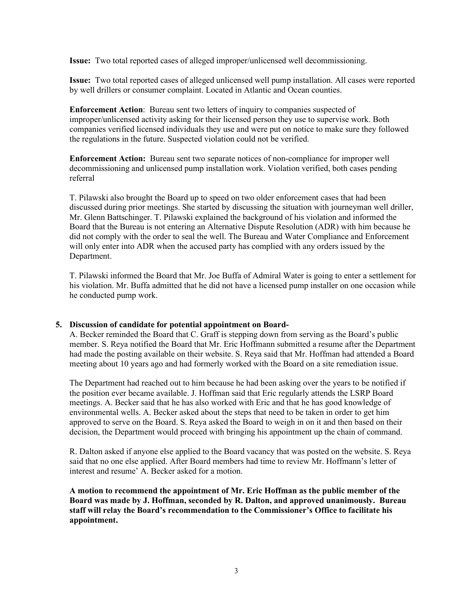**Issue:** Two total reported cases of alleged improper/unlicensed well decommissioning.

**Issue:** Two total reported cases of alleged unlicensed well pump installation. All cases were reported by well drillers or consumer complaint. Located in Atlantic and Ocean counties.

**Enforcement Action**: Bureau sent two letters of inquiry to companies suspected of improper/unlicensed activity asking for their licensed person they use to supervise work. Both companies verified licensed individuals they use and were put on notice to make sure they followed the regulations in the future. Suspected violation could not be verified.

**Enforcement Action:** Bureau sent two separate notices of non-compliance for improper well decommissioning and unlicensed pump installation work. Violation verified, both cases pending referral

T. Pilawski also brought the Board up to speed on two older enforcement cases that had been discussed during prior meetings. She started by discussing the situation with journeyman well driller, Mr. Glenn Battschinger. T. Pilawski explained the background of his violation and informed the Board that the Bureau is not entering an Alternative Dispute Resolution (ADR) with him because he did not comply with the order to seal the well. The Bureau and Water Compliance and Enforcement will only enter into ADR when the accused party has complied with any orders issued by the Department.

T. Pilawski informed the Board that Mr. Joe Buffa of Admiral Water is going to enter a settlement for his violation. Mr. Buffa admitted that he did not have a licensed pump installer on one occasion while he conducted pump work.

#### **5. Discussion of candidate for potential appointment on Board-**

A. Becker reminded the Board that C. Graff is stepping down from serving as the Board's public member. S. Reya notified the Board that Mr. Eric Hoffmann submitted a resume after the Department had made the posting available on their website. S. Reya said that Mr. Hoffman had attended a Board meeting about 10 years ago and had formerly worked with the Board on a site remediation issue.

The Department had reached out to him because he had been asking over the years to be notified if the position ever became available. J. Hoffman said that Eric regularly attends the LSRP Board meetings. A. Becker said that he has also worked with Eric and that he has good knowledge of environmental wells. A. Becker asked about the steps that need to be taken in order to get him approved to serve on the Board. S. Reya asked the Board to weigh in on it and then based on their decision, the Department would proceed with bringing his appointment up the chain of command.

R. Dalton asked if anyone else applied to the Board vacancy that was posted on the website. S. Reya said that no one else applied. After Board members had time to review Mr. Hoffmann's letter of interest and resume' A. Becker asked for a motion.

**A motion to recommend the appointment of Mr. Eric Hoffman as the public member of the Board was made by J. Hoffman, seconded by R. Dalton, and approved unanimously. Bureau staff will relay the Board's recommendation to the Commissioner's Office to facilitate his appointment.**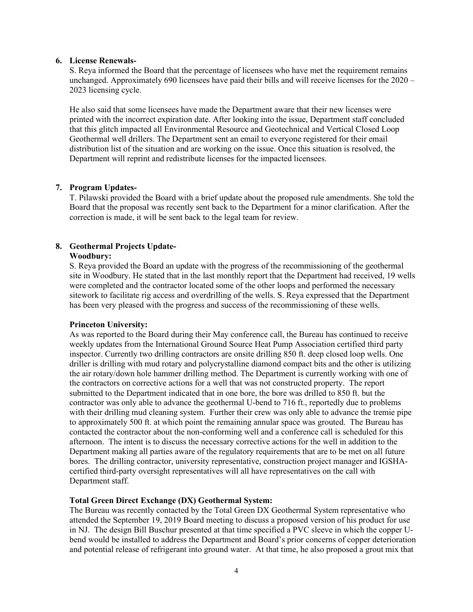#### **6. License Renewals-**

S. Reya informed the Board that the percentage of licensees who have met the requirement remains unchanged. Approximately 690 licensees have paid their bills and will receive licenses for the  $2020 -$ 2023 licensing cycle.

He also said that some licensees have made the Department aware that their new licenses were printed with the incorrect expiration date. After looking into the issue, Department staff concluded that this glitch impacted all Environmental Resource and Geotechnical and Vertical Closed Loop Geothermal well drillers. The Department sent an email to everyone registered for their email distribution list of the situation and are working on the issue. Once this situation is resolved, the Department will reprint and redistribute licenses for the impacted licensees.

#### **7. Program Updates-**

T. Pilawski provided the Board with a brief update about the proposed rule amendments. She told the Board that the proposal was recently sent back to the Department for a minor clarification. After the correction is made, it will be sent back to the legal team for review.

## **8. Geothermal Projects Update-**

#### **Woodbury:**

S. Reya provided the Board an update with the progress of the recommissioning of the geothermal site in Woodbury. He stated that in the last monthly report that the Department had received, 19 wells were completed and the contractor located some of the other loops and performed the necessary sitework to facilitate rig access and overdrilling of the wells. S. Reya expressed that the Department has been very pleased with the progress and success of the recommissioning of these wells.

#### **Princeton University:**

As was reported to the Board during their May conference call, the Bureau has continued to receive weekly updates from the International Ground Source Heat Pump Association certified third party inspector. Currently two drilling contractors are onsite drilling 850 ft. deep closed loop wells. One driller is drilling with mud rotary and polycrystalline diamond compact bits and the other is utilizing the air rotary/down hole hammer drilling method. The Department is currently working with one of the contractors on corrective actions for a well that was not constructed property. The report submitted to the Department indicated that in one bore, the bore was drilled to 850 ft. but the contractor was only able to advance the geothermal U-bend to 716 ft., reportedly due to problems with their drilling mud cleaning system. Further their crew was only able to advance the tremie pipe to approximately 500 ft. at which point the remaining annular space was grouted. The Bureau has contacted the contractor about the non-conforming well and a conference call is scheduled for this afternoon. The intent is to discuss the necessary corrective actions for the well in addition to the Department making all parties aware of the regulatory requirements that are to be met on all future bores. The drilling contractor, university representative, construction project manager and IGSHAcertified third-party oversight representatives will all have representatives on the call with Department staff.

#### **Total Green Direct Exchange (DX) Geothermal System:**

The Bureau was recently contacted by the Total Green DX Geothermal System representative who attended the September 19, 2019 Board meeting to discuss a proposed version of his product for use in NJ. The design Bill Buschur presented at that time specified a PVC sleeve in which the copper Ubend would be installed to address the Department and Board's prior concerns of copper deterioration and potential release of refrigerant into ground water. At that time, he also proposed a grout mix that